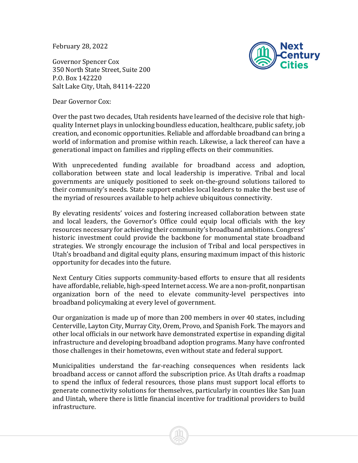February 28, 2022

Governor Spencer Cox 350 North State Street, Suite 200 P.O. Box 142220 Salt Lake City, Utah, 84114-2220



Dear Governor Cox:

Over the past two decades, Utah residents have learned of the decisive role that highquality Internet plays in unlocking boundless education, healthcare, public safety, job creation, and economic opportunities. Reliable and affordable broadband can bring a world of information and promise within reach. Likewise, a lack thereof can have a generational impact on families and rippling effects on their communities.

With unprecedented funding available for broadband access and adoption, collaboration between state and local leadership is imperative. Tribal and local governments are uniquely positioned to seek on-the-ground solutions tailored to their community's needs. State support enables local leaders to make the best use of the myriad of resources available to help achieve ubiquitous connectivity.

By elevating residents' voices and fostering increased collaboration between state and local leaders, the Governor's Office could equip local officials with the key resources necessary for achieving their community's broadband ambitions. Congress' historic investment could provide the backbone for monumental state broadband strategies. We strongly encourage the inclusion of Tribal and local perspectives in Utah's broadband and digital equity plans, ensuring maximum impact of this historic opportunity for decades into the future.

Next Century Cities supports community-based efforts to ensure that all residents have affordable, reliable, high-speed Internet access. We are a non-profit, nonpartisan organization born of the need to elevate community-level perspectives into broadband policymaking at every level of government.

Our organization is made up of more than 200 members in over 40 states, including Centerville, Layton City, Murray City, Orem, Provo, and Spanish Fork. The mayors and other local officials in our network have demonstrated expertise in expanding digital infrastructure and developing broadband adoption programs. Many have confronted those challenges in their hometowns, even without state and federal support.

Municipalities understand the far-reaching consequences when residents lack broadband access or cannot afford the subscription price. As Utah drafts a roadmap to spend the influx of federal resources, those plans must support local efforts to generate connectivity solutions for themselves, particularly in counties like San Juan and Uintah, where there is little financial incentive for traditional providers to build infrastructure.